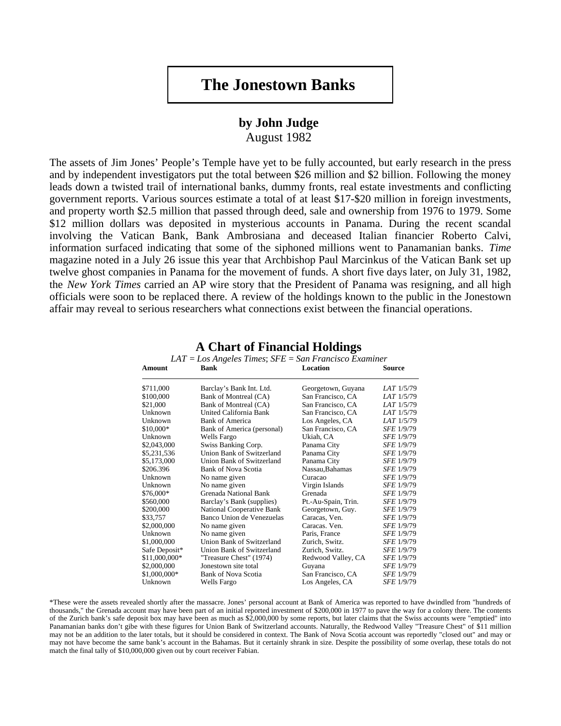## **The Jonestown Banks**

## **by John Judge**

August 1982

The assets of Jim Jones' People's Temple have yet to be fully accounted, but early research in the press and by independent investigators put the total between \$26 million and \$2 billion. Following the money leads down a twisted trail of international banks, dummy fronts, real estate investments and conflicting government reports. Various sources estimate a total of at least \$17-\$20 million in foreign investments, and property worth \$2.5 million that passed through deed, sale and ownership from 1976 to 1979. Some \$12 million dollars was deposited in mysterious accounts in Panama. During the recent scandal involving the Vatican Bank, Bank Ambrosiana and deceased Italian financier Roberto Calvi, information surfaced indicating that some of the siphoned millions went to Panamanian banks. *Time* magazine noted in a July 26 issue this year that Archbishop Paul Marcinkus of the Vatican Bank set up twelve ghost companies in Panama for the movement of funds. A short five days later, on July 31, 1982, the *New York Times* carried an AP wire story that the President of Panama was resigning, and all high officials were soon to be replaced there. A review of the holdings known to the public in the Jonestown affair may reveal to serious researchers what connections exist between the financial operations.

| Amount        | Bank                             | Location            | Source            |
|---------------|----------------------------------|---------------------|-------------------|
| \$711,000     | Barclay's Bank Int. Ltd.         | Georgetown, Guyana  | LAT 1/5/79        |
| \$100,000     | Bank of Montreal (CA)            | San Francisco, CA   | LAT 1/5/79        |
| \$21,000      | Bank of Montreal (CA)            | San Francisco, CA   | LAT 1/5/79        |
| Unknown       | United California Bank           | San Francisco, CA   | LAT 1/5/79        |
| Unknown       | <b>Bank of America</b>           | Los Angeles, CA     | LAT 1/5/79        |
| \$10,000*     | Bank of America (personal)       | San Francisco, CA   | SFE 1/9/79        |
| Unknown       | Wells Fargo                      | Ukiah, CA           | SFE 1/9/79        |
| \$2,043,000   | Swiss Banking Corp.              | Panama City         | SFE 1/9/79        |
| \$5,231,536   | Union Bank of Switzerland        | Panama City         | SFE 1/9/79        |
| \$5,173,000   | Union Bank of Switzerland        | Panama City         | SFE 1/9/79        |
| \$206.396     | Bank of Nova Scotia              | Nassau, Bahamas     | SFE 1/9/79        |
| Unknown       | No name given                    | Curacao             | <i>SFE</i> 1/9/79 |
| Unknown       | No name given                    | Virgin Islands      | SFE 1/9/79        |
| \$76,000*     | Grenada National Bank            | Grenada             | <i>SFE</i> 1/9/79 |
| \$560,000     | Barclay's Bank (supplies)        | Pt.-Au-Spain, Trin. | <b>SFE 1/9/79</b> |
| \$200,000     | <b>National Cooperative Bank</b> | Georgetown, Guy.    | SFE 1/9/79        |
| \$33,757      | Banco Union de Venezuelas        | Caracas, Ven.       | SFE 1/9/79        |
| \$2,000,000   | No name given                    | Caracas. Ven.       | SFE 1/9/79        |
| Unknown       | No name given                    | Paris, France       | SFE 1/9/79        |
| \$1,000,000   | Union Bank of Switzerland        | Zurich, Switz.      | SFE 1/9/79        |
| Safe Deposit* | Union Bank of Switzerland        | Zurich, Switz.      | SFE 1/9/79        |
| \$11,000,000* | "Treasure Chest" (1974)          | Redwood Valley, CA  | <i>SFE 1/9/79</i> |
| \$2,000,000   | Jonestown site total             | Guyana              | SFE 1/9/79        |
| \$1,000,000*  | Bank of Nova Scotia              | San Francisco, CA   | <i>SFE</i> 1/9/79 |
| Unknown       | Wells Fargo                      | Los Angeles, CA     | <i>SFE</i> 1/9/79 |
|               |                                  |                     |                   |

## **A Chart of Financial Holdings**  *LAT* = *Los Angeles Times*; *SFE* = *San Francisco Examiner*

\*These were the assets revealed shortly after the massacre. Jones' personal account at Bank of America was reported to have dwindled from "hundreds of thousands," the Grenada account may have been part of an initial reported investment of \$200,000 in 1977 to pave the way for a colony there. The contents of the Zurich bank's safe deposit box may have been as much as \$2,000,000 by some reports, but later claims that the Swiss accounts were "emptied" into Panamanian banks don't gibe with these figures for Union Bank of Switzerland accounts. Naturally, the Redwood Valley "Treasure Chest" of \$11 million may not be an addition to the later totals, but it should be considered in context. The Bank of Nova Scotia account was reportedly "closed out" and may or may not have become the same bank's account in the Bahamas. But it certainly shrank in size. Despite the possibility of some overlap, these totals do not match the final tally of \$10,000,000 given out by court receiver Fabian.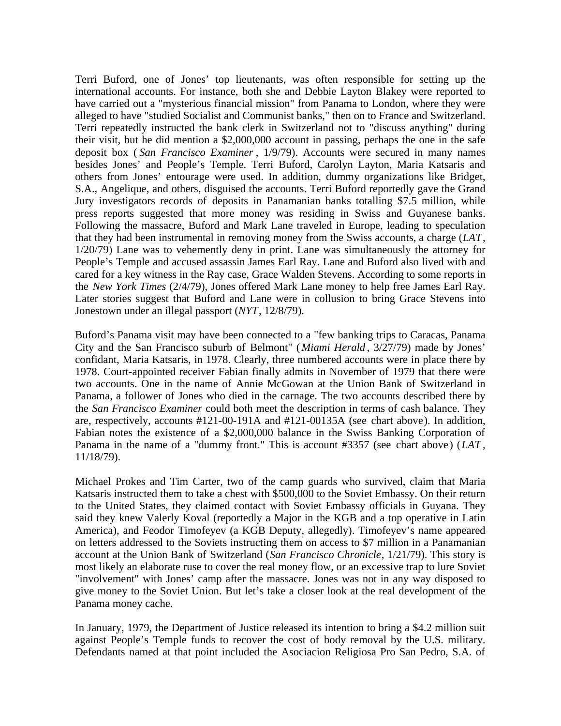Terri Buford, one of Jones' top lieutenants, was often responsible for setting up the international accounts. For instance, both she and Debbie Layton Blakey were reported to have carried out a "mysterious financial mission" from Panama to London, where they were alleged to have "studied Socialist and Communist banks," then on to France and Switzerland. Terri repeatedly instructed the bank clerk in Switzerland not to "discuss anything" during their visit, but he did mention a \$2,000,000 account in passing, perhaps the one in the safe deposit box ( *San Francisco Examiner* , 1/9/79). Accounts were secured in many names besides Jones' and People's Temple. Terri Buford, Carolyn Layton, Maria Katsaris and others from Jones' entourage were used. In addition, dummy organizations like Bridget, S.A., Angelique, and others, disguised the accounts. Terri Buford reportedly gave the Grand Jury investigators records of deposits in Panamanian banks totalling \$7.5 million, while press reports suggested that more money was residing in Swiss and Guyanese banks. Following the massacre, Buford and Mark Lane traveled in Europe, leading to speculation that they had been instrumental in removing money from the Swiss accounts, a charge (*LAT*, 1/20/79) Lane was to vehemently deny in print. Lane was simultaneously the attorney for People's Temple and accused assassin James Earl Ray. Lane and Buford also lived with and cared for a key witness in the Ray case, Grace Walden Stevens. According to some reports in the *New York Times* (2/4/79), Jones offered Mark Lane money to help free James Earl Ray. Later stories suggest that Buford and Lane were in collusion to bring Grace Stevens into Jonestown under an illegal passport (*NYT*, 12/8/79).

Buford's Panama visit may have been connected to a "few banking trips to Caracas, Panama City and the San Francisco suburb of Belmont" (*Miami Herald* , 3/27/79) made by Jones' confidant, Maria Katsaris, in 1978. Clearly, three numbered accounts were in place there by 1978. Court-appointed receiver Fabian finally admits in November of 1979 that there were two accounts. One in the name of Annie McGowan at the Union Bank of Switzerland in Panama, a follower of Jones who died in the carnage. The two accounts described there by the *San Francisco Examiner* could both meet the description in terms of cash balance. They are, respectively, accounts #121-00-191A and #121-00135A (see chart above). In addition, Fabian notes the existence of a \$2,000,000 balance in the Swiss Banking Corporation of Panama in the name of a "dummy front." This is account #3357 (see chart above) (*LAT* , 11/18/79).

Michael Prokes and Tim Carter, two of the camp guards who survived, claim that Maria Katsaris instructed them to take a chest with \$500,000 to the Soviet Embassy. On their return to the United States, they claimed contact with Soviet Embassy officials in Guyana. They said they knew Valerly Koval (reportedly a Major in the KGB and a top operative in Latin America), and Feodor Timofeyev (a KGB Deputy, allegedly). Timofeyev's name appeared on letters addressed to the Soviets instructing them on access to \$7 million in a Panamanian account at the Union Bank of Switzerland (*San Francisco Chronicle*, 1/21/79). This story is most likely an elaborate ruse to cover the real money flow, or an excessive trap to lure Soviet "involvement" with Jones' camp after the massacre. Jones was not in any way disposed to give money to the Soviet Union. But let's take a closer look at the real development of the Panama money cache.

In January, 1979, the Department of Justice released its intention to bring a \$4.2 million suit against People's Temple funds to recover the cost of body removal by the U.S. military. Defendants named at that point included the Asociacion Religiosa Pro San Pedro, S.A. of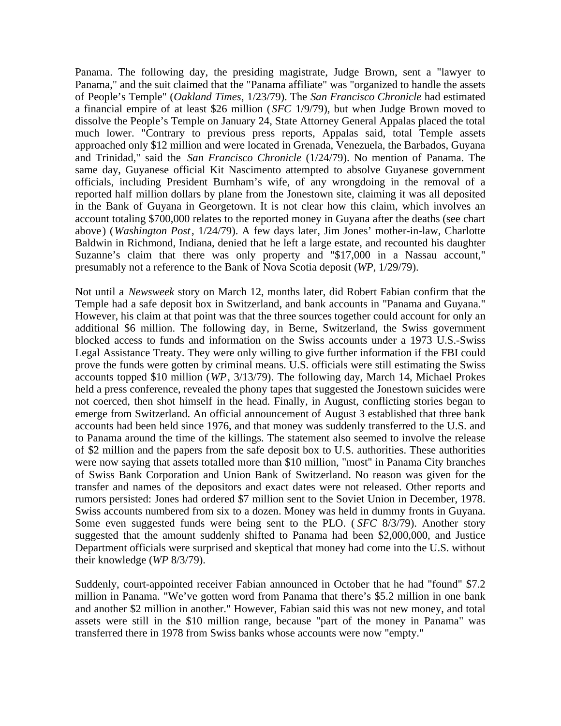Panama. The following day, the presiding magistrate, Judge Brown, sent a "lawyer to Panama," and the suit claimed that the "Panama affiliate" was "organized to handle the assets of People's Temple" (*Oakland Times*, 1/23/79). The *San Francisco Chronicle* had estimated a financial empire of at least \$26 million (*SFC* 1/9/79), but when Judge Brown moved to dissolve the People's Temple on January 24, State Attorney General Appalas placed the total much lower. "Contrary to previous press reports, Appalas said, total Temple assets approached only \$12 million and were located in Grenada, Venezuela, the Barbados, Guyana and Trinidad," said the *San Francisco Chronicle* (1/24/79). No mention of Panama. The same day, Guyanese official Kit Nascimento attempted to absolve Guyanese government officials, including President Burnham's wife, of any wrongdoing in the removal of a reported half million dollars by plane from the Jonestown site, claiming it was all deposited in the Bank of Guyana in Georgetown. It is not clear how this claim, which involves an account totaling \$700,000 relates to the reported money in Guyana after the deaths (see chart above) (*Washington Post*, 1/24/79). A few days later, Jim Jones' mother-in-law, Charlotte Baldwin in Richmond, Indiana, denied that he left a large estate, and recounted his daughter Suzanne's claim that there was only property and "\$17,000 in a Nassau account," presumably not a reference to the Bank of Nova Scotia deposit (*WP*, 1/29/79).

Not until a *Newsweek* story on March 12, months later, did Robert Fabian confirm that the Temple had a safe deposit box in Switzerland, and bank accounts in "Panama and Guyana." However, his claim at that point was that the three sources together could account for only an additional \$6 million. The following day, in Berne, Switzerland, the Swiss government blocked access to funds and information on the Swiss accounts under a 1973 U.S.-Swiss Legal Assistance Treaty. They were only willing to give further information if the FBI could prove the funds were gotten by criminal means. U.S. officials were still estimating the Swiss accounts topped \$10 million (*WP*, 3/13/79). The following day, March 14, Michael Prokes held a press conference, revealed the phony tapes that suggested the Jonestown suicides were not coerced, then shot himself in the head. Finally, in August, conflicting stories began to emerge from Switzerland. An official announcement of August 3 established that three bank accounts had been held since 1976, and that money was suddenly transferred to the U.S. and to Panama around the time of the killings. The statement also seemed to involve the release of \$2 million and the papers from the safe deposit box to U.S. authorities. These authorities were now saying that assets totalled more than \$10 million, "most" in Panama City branches of Swiss Bank Corporation and Union Bank of Switzerland. No reason was given for the transfer and names of the depositors and exact dates were not released. Other reports and rumors persisted: Jones had ordered \$7 million sent to the Soviet Union in December, 1978. Swiss accounts numbered from six to a dozen. Money was held in dummy fronts in Guyana. Some even suggested funds were being sent to the PLO. ( *SFC* 8/3/79). Another story suggested that the amount suddenly shifted to Panama had been \$2,000,000, and Justice Department officials were surprised and skeptical that money had come into the U.S. without their knowledge (*WP* 8/3/79).

Suddenly, court-appointed receiver Fabian announced in October that he had "found" \$7.2 million in Panama. "We've gotten word from Panama that there's \$5.2 million in one bank and another \$2 million in another." However, Fabian said this was not new money, and total assets were still in the \$10 million range, because "part of the money in Panama" was transferred there in 1978 from Swiss banks whose accounts were now "empty."